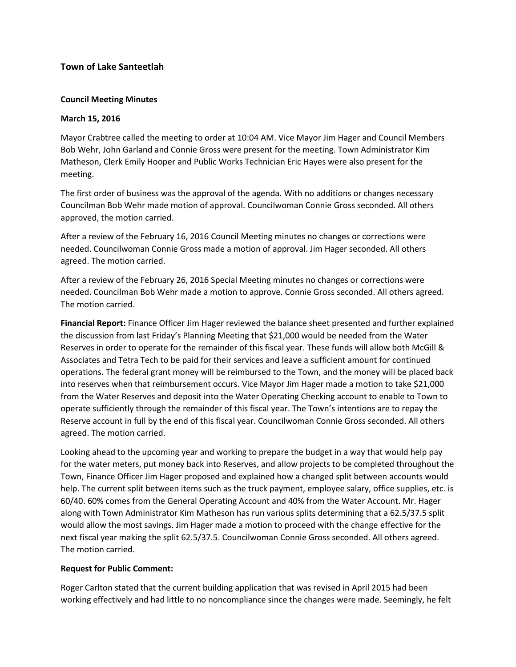# **Town of Lake Santeetlah**

### **Council Meeting Minutes**

#### **March 15, 2016**

Mayor Crabtree called the meeting to order at 10:04 AM. Vice Mayor Jim Hager and Council Members Bob Wehr, John Garland and Connie Gross were present for the meeting. Town Administrator Kim Matheson, Clerk Emily Hooper and Public Works Technician Eric Hayes were also present for the meeting.

The first order of business was the approval of the agenda. With no additions or changes necessary Councilman Bob Wehr made motion of approval. Councilwoman Connie Gross seconded. All others approved, the motion carried.

After a review of the February 16, 2016 Council Meeting minutes no changes or corrections were needed. Councilwoman Connie Gross made a motion of approval. Jim Hager seconded. All others agreed. The motion carried.

After a review of the February 26, 2016 Special Meeting minutes no changes or corrections were needed. Councilman Bob Wehr made a motion to approve. Connie Gross seconded. All others agreed. The motion carried.

**Financial Report:** Finance Officer Jim Hager reviewed the balance sheet presented and further explained the discussion from last Friday's Planning Meeting that \$21,000 would be needed from the Water Reserves in order to operate for the remainder of this fiscal year. These funds will allow both McGill & Associates and Tetra Tech to be paid for their services and leave a sufficient amount for continued operations. The federal grant money will be reimbursed to the Town, and the money will be placed back into reserves when that reimbursement occurs. Vice Mayor Jim Hager made a motion to take \$21,000 from the Water Reserves and deposit into the Water Operating Checking account to enable to Town to operate sufficiently through the remainder of this fiscal year. The Town's intentions are to repay the Reserve account in full by the end of this fiscal year. Councilwoman Connie Gross seconded. All others agreed. The motion carried.

Looking ahead to the upcoming year and working to prepare the budget in a way that would help pay for the water meters, put money back into Reserves, and allow projects to be completed throughout the Town, Finance Officer Jim Hager proposed and explained how a changed split between accounts would help. The current split between items such as the truck payment, employee salary, office supplies, etc. is 60/40. 60% comes from the General Operating Account and 40% from the Water Account. Mr. Hager along with Town Administrator Kim Matheson has run various splits determining that a 62.5/37.5 split would allow the most savings. Jim Hager made a motion to proceed with the change effective for the next fiscal year making the split 62.5/37.5. Councilwoman Connie Gross seconded. All others agreed. The motion carried.

#### **Request for Public Comment:**

Roger Carlton stated that the current building application that was revised in April 2015 had been working effectively and had little to no noncompliance since the changes were made. Seemingly, he felt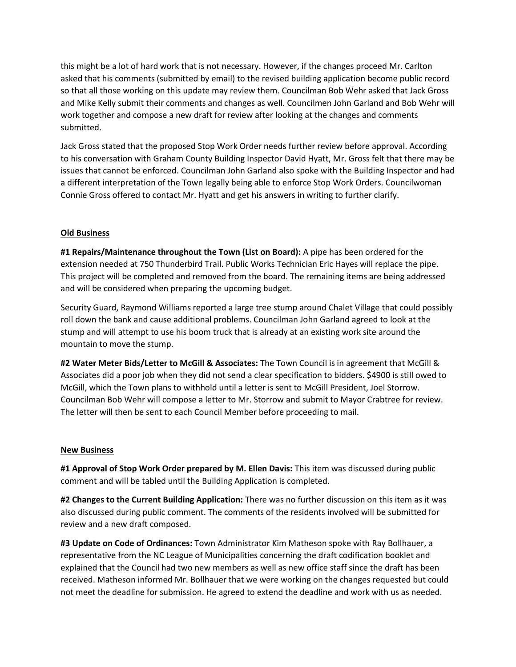this might be a lot of hard work that is not necessary. However, if the changes proceed Mr. Carlton asked that his comments (submitted by email) to the revised building application become public record so that all those working on this update may review them. Councilman Bob Wehr asked that Jack Gross and Mike Kelly submit their comments and changes as well. Councilmen John Garland and Bob Wehr will work together and compose a new draft for review after looking at the changes and comments submitted.

Jack Gross stated that the proposed Stop Work Order needs further review before approval. According to his conversation with Graham County Building Inspector David Hyatt, Mr. Gross felt that there may be issues that cannot be enforced. Councilman John Garland also spoke with the Building Inspector and had a different interpretation of the Town legally being able to enforce Stop Work Orders. Councilwoman Connie Gross offered to contact Mr. Hyatt and get his answers in writing to further clarify.

## **Old Business**

**#1 Repairs/Maintenance throughout the Town (List on Board):** A pipe has been ordered for the extension needed at 750 Thunderbird Trail. Public Works Technician Eric Hayes will replace the pipe. This project will be completed and removed from the board. The remaining items are being addressed and will be considered when preparing the upcoming budget.

Security Guard, Raymond Williams reported a large tree stump around Chalet Village that could possibly roll down the bank and cause additional problems. Councilman John Garland agreed to look at the stump and will attempt to use his boom truck that is already at an existing work site around the mountain to move the stump.

**#2 Water Meter Bids/Letter to McGill & Associates:** The Town Council is in agreement that McGill & Associates did a poor job when they did not send a clear specification to bidders. \$4900 is still owed to McGill, which the Town plans to withhold until a letter is sent to McGill President, Joel Storrow. Councilman Bob Wehr will compose a letter to Mr. Storrow and submit to Mayor Crabtree for review. The letter will then be sent to each Council Member before proceeding to mail.

#### **New Business**

**#1 Approval of Stop Work Order prepared by M. Ellen Davis:** This item was discussed during public comment and will be tabled until the Building Application is completed.

**#2 Changes to the Current Building Application:** There was no further discussion on this item as it was also discussed during public comment. The comments of the residents involved will be submitted for review and a new draft composed.

**#3 Update on Code of Ordinances:** Town Administrator Kim Matheson spoke with Ray Bollhauer, a representative from the NC League of Municipalities concerning the draft codification booklet and explained that the Council had two new members as well as new office staff since the draft has been received. Matheson informed Mr. Bollhauer that we were working on the changes requested but could not meet the deadline for submission. He agreed to extend the deadline and work with us as needed.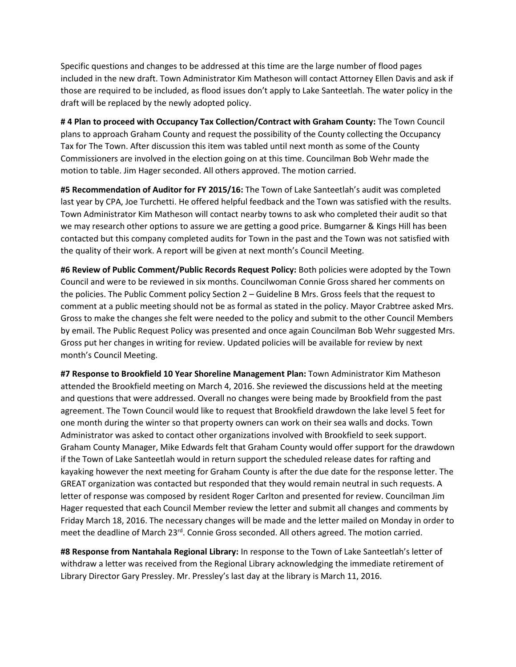Specific questions and changes to be addressed at this time are the large number of flood pages included in the new draft. Town Administrator Kim Matheson will contact Attorney Ellen Davis and ask if those are required to be included, as flood issues don't apply to Lake Santeetlah. The water policy in the draft will be replaced by the newly adopted policy.

**# 4 Plan to proceed with Occupancy Tax Collection/Contract with Graham County:** The Town Council plans to approach Graham County and request the possibility of the County collecting the Occupancy Tax for The Town. After discussion this item was tabled until next month as some of the County Commissioners are involved in the election going on at this time. Councilman Bob Wehr made the motion to table. Jim Hager seconded. All others approved. The motion carried.

**#5 Recommendation of Auditor for FY 2015/16:** The Town of Lake Santeetlah's audit was completed last year by CPA, Joe Turchetti. He offered helpful feedback and the Town was satisfied with the results. Town Administrator Kim Matheson will contact nearby towns to ask who completed their audit so that we may research other options to assure we are getting a good price. Bumgarner & Kings Hill has been contacted but this company completed audits for Town in the past and the Town was not satisfied with the quality of their work. A report will be given at next month's Council Meeting.

**#6 Review of Public Comment/Public Records Request Policy:** Both policies were adopted by the Town Council and were to be reviewed in six months. Councilwoman Connie Gross shared her comments on the policies. The Public Comment policy Section 2 – Guideline B Mrs. Gross feels that the request to comment at a public meeting should not be as formal as stated in the policy. Mayor Crabtree asked Mrs. Gross to make the changes she felt were needed to the policy and submit to the other Council Members by email. The Public Request Policy was presented and once again Councilman Bob Wehr suggested Mrs. Gross put her changes in writing for review. Updated policies will be available for review by next month's Council Meeting.

**#7 Response to Brookfield 10 Year Shoreline Management Plan:** Town Administrator Kim Matheson attended the Brookfield meeting on March 4, 2016. She reviewed the discussions held at the meeting and questions that were addressed. Overall no changes were being made by Brookfield from the past agreement. The Town Council would like to request that Brookfield drawdown the lake level 5 feet for one month during the winter so that property owners can work on their sea walls and docks. Town Administrator was asked to contact other organizations involved with Brookfield to seek support. Graham County Manager, Mike Edwards felt that Graham County would offer support for the drawdown if the Town of Lake Santeetlah would in return support the scheduled release dates for rafting and kayaking however the next meeting for Graham County is after the due date for the response letter. The GREAT organization was contacted but responded that they would remain neutral in such requests. A letter of response was composed by resident Roger Carlton and presented for review. Councilman Jim Hager requested that each Council Member review the letter and submit all changes and comments by Friday March 18, 2016. The necessary changes will be made and the letter mailed on Monday in order to meet the deadline of March 23<sup>rd</sup>. Connie Gross seconded. All others agreed. The motion carried.

**#8 Response from Nantahala Regional Library:** In response to the Town of Lake Santeetlah's letter of withdraw a letter was received from the Regional Library acknowledging the immediate retirement of Library Director Gary Pressley. Mr. Pressley's last day at the library is March 11, 2016.